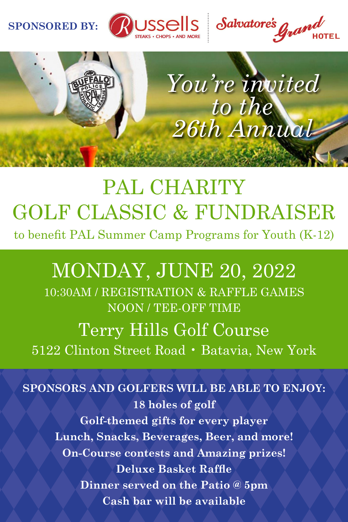#### **SPONSORED BY:**







# PAL CHARITY GOLF CLASSIC & FUNDRAISER

to benefit PAL Summer Camp Programs for Youth (K-12)

## MONDAY, JUNE 20, 2022

10:30AM / REGISTRATION & RAFFLE GAMES NOON / TEE-OFF TIME Terry Hills Golf Course

5122 Clinton Street Road • Batavia, New York

**SPONSORS AND GOLFERS WILL BE ABLE TO ENJOY: 18 holes of golf Golf-themed gifts for every player Lunch, Snacks, Beverages, Beer, and more! On-Course contests and Amazing prizes! Deluxe Basket Raffle Dinner served on the Patio @ 5pm Cash bar will be available**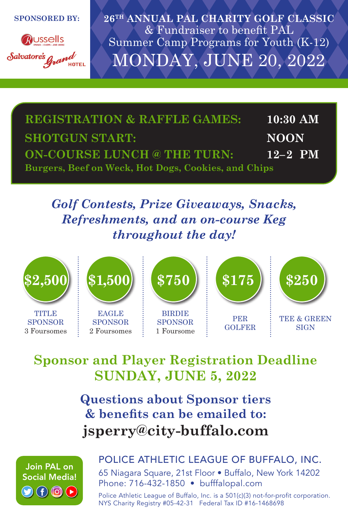**SPONSORED BY:**



**26TH ANNUAL PAL CHARITY GOLF CLASSIC** & Fundraiser to benefit PAL Summer Camp Programs for Youth (K-12) MONDAY, JUNE 20, 2022

| <b>REGISTRATION &amp; RAFFLE GAMES:</b>             | $10:30~\mathrm{AM}$ |
|-----------------------------------------------------|---------------------|
| <b>SHOTGUN START:</b>                               | <b>NOON</b>         |
| <b>ON-COURSE LUNCH @ THE TURN:</b>                  | $12 - 2$ PM         |
| Burgers, Beef on Weck, Hot Dogs, Cookies, and Chips |                     |

#### *Golf Contests, Prize Giveaways, Snacks, Refreshments, and an on-course Keg throughout the day!*



TITLE<sub>1</sub> SPONSOR 3 Foursomes



SPONSOR 2 Foursomes



PER **\$175 \$250**

GOLFER

TEE & GREEN **SIGN** 

### **Sponsor and Player Registration Deadline SUNDAY, JUNE 5, 2022**

**Questions about Sponsor tiers & benefits can be emailed to: jsperry@city-buffalo.com**



#### POLICE ATHLETIC LEAGUE OF BUFFALO, INC.

65 Niagara Square, 21st Floor • Buffalo, New York 14202 Phone: 716-432-1850 • bufffalopal.com

Police Athletic League of Buffalo, Inc. is a 501(c)(3) not-for-profit corporation. NYS Charity Registry #05-42-31 Federal Tax ID #16-1468698